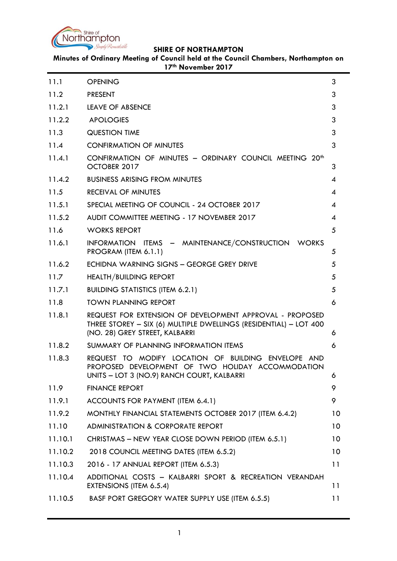

**Minutes of Ordinary Meeting of Council held at the Council Chambers, Northampton on 17th November 2017**

| 11.1    | <b>OPENING</b>                                                                                                                                                  | 3  |
|---------|-----------------------------------------------------------------------------------------------------------------------------------------------------------------|----|
| 11.2    | <b>PRESENT</b>                                                                                                                                                  | 3  |
| 11.2.1  | <b>LEAVE OF ABSENCE</b>                                                                                                                                         | 3  |
| 11.2.2  | <b>APOLOGIES</b>                                                                                                                                                | 3  |
| 11.3    | <b>QUESTION TIME</b>                                                                                                                                            | 3  |
| 11.4    | <b>CONFIRMATION OF MINUTES</b>                                                                                                                                  | 3  |
| 11.4.1  | CONFIRMATION OF MINUTES - ORDINARY COUNCIL MEETING 20 <sup>th</sup><br>OCTOBER 2017                                                                             | 3  |
| 11.4.2  | <b>BUSINESS ARISING FROM MINUTES</b>                                                                                                                            | 4  |
| 11.5    | <b>RECEIVAL OF MINUTES</b>                                                                                                                                      | 4  |
| 11.5.1  | SPECIAL MEETING OF COUNCIL - 24 OCTOBER 2017                                                                                                                    | 4  |
| 11.5.2  | AUDIT COMMITTEE MEETING - 17 NOVEMBER 2017                                                                                                                      | 4  |
| 11.6    | <b>WORKS REPORT</b>                                                                                                                                             | 5  |
| 11.6.1  | INFORMATION ITEMS - MAINTENANCE/CONSTRUCTION WORKS<br>PROGRAM (ITEM 6.1.1)                                                                                      | 5  |
| 11.6.2  | ECHIDNA WARNING SIGNS - GEORGE GREY DRIVE                                                                                                                       | 5  |
| 11.7    | <b>HEALTH/BUILDING REPORT</b>                                                                                                                                   | 5  |
| 11.7.1  | <b>BUILDING STATISTICS (ITEM 6.2.1)</b>                                                                                                                         | 5  |
| 11.8    | <b>TOWN PLANNING REPORT</b>                                                                                                                                     | 6  |
| 11.8.1  | REQUEST FOR EXTENSION OF DEVELOPMENT APPROVAL - PROPOSED<br>THREE STOREY - SIX (6) MULTIPLE DWELLINGS (RESIDENTIAL) - LOT 400<br>(NO. 28) GREY STREET, KALBARRI | 6  |
| 11.8.2  | SUMMARY OF PLANNING INFORMATION ITEMS                                                                                                                           | 6  |
| 11.8.3  | REQUEST TO MODIFY LOCATION OF BUILDING ENVELOPE AND<br>PROPOSED DEVELOPMENT OF TWO HOLIDAY ACCOMMODATION<br>UNITS - LOT 3 (NO.9) RANCH COURT, KALBARRI          | 6  |
| 11.9    | <b>FINANCE REPORT</b>                                                                                                                                           | 9  |
| 11.9.1  | ACCOUNTS FOR PAYMENT (ITEM 6.4.1)                                                                                                                               | 9  |
| 11.9.2  | MONTHLY FINANCIAL STATEMENTS OCTOBER 2017 (ITEM 6.4.2)                                                                                                          | 10 |
| 11.10   | <b>ADMINISTRATION &amp; CORPORATE REPORT</b>                                                                                                                    | 10 |
| 11.10.1 | CHRISTMAS - NEW YEAR CLOSE DOWN PERIOD (ITEM 6.5.1)                                                                                                             | 10 |
| 11.10.2 | 2018 COUNCIL MEETING DATES (ITEM 6.5.2)                                                                                                                         | 10 |
| 11.10.3 | 2016 - 17 ANNUAL REPORT (ITEM 6.5.3)                                                                                                                            | 11 |
| 11.10.4 | ADDITIONAL COSTS - KALBARRI SPORT & RECREATION VERANDAH<br>EXTENSIONS (ITEM 6.5.4)                                                                              | 11 |
| 11.10.5 | BASF PORT GREGORY WATER SUPPLY USE (ITEM 6.5.5)                                                                                                                 | 11 |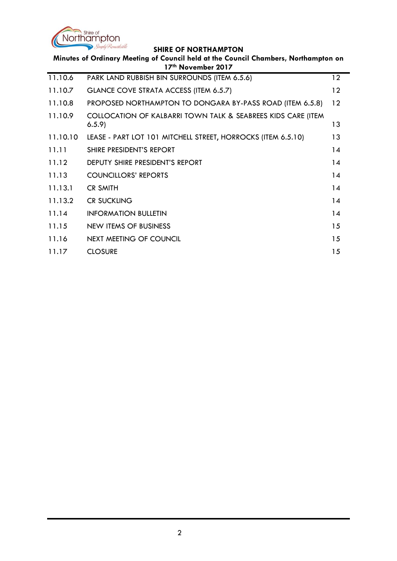

| Minutes of Ordinary Meeting of Council held at the Council Chambers, Northampton on<br>17th November 2017 |                                                                       |    |  |  |  |
|-----------------------------------------------------------------------------------------------------------|-----------------------------------------------------------------------|----|--|--|--|
| 11.10.6                                                                                                   | PARK LAND RUBBISH BIN SURROUNDS (ITEM 6.5.6)                          | 12 |  |  |  |
| 11.10.7                                                                                                   | GLANCE COVE STRATA ACCESS (ITEM 6.5.7)                                | 12 |  |  |  |
| 11.10.8                                                                                                   | PROPOSED NORTHAMPTON TO DONGARA BY-PASS ROAD (ITEM 6.5.8)             | 12 |  |  |  |
| 11.10.9                                                                                                   | COLLOCATION OF KALBARRI TOWN TALK & SEABREES KIDS CARE (ITEM<br>6.5.9 | 13 |  |  |  |
| 11.10.10                                                                                                  | LEASE - PART LOT 101 MITCHELL STREET, HORROCKS (ITEM 6.5.10)          | 13 |  |  |  |
| 11.11                                                                                                     | SHIRE PRESIDENT'S REPORT                                              | 14 |  |  |  |
| 11.12                                                                                                     | DEPUTY SHIRE PRESIDENT'S REPORT                                       | 14 |  |  |  |
| 11.13                                                                                                     | <b>COUNCILLORS' REPORTS</b>                                           | 14 |  |  |  |
| 11.13.1                                                                                                   | <b>CR SMITH</b>                                                       | 14 |  |  |  |
| 11.13.2                                                                                                   | <b>CR SUCKLING</b>                                                    | 14 |  |  |  |
| 11.14                                                                                                     | <b>INFORMATION BULLETIN</b>                                           | 14 |  |  |  |
| 11.15                                                                                                     | NEW ITEMS OF BUSINESS                                                 | 15 |  |  |  |
| 11.16                                                                                                     | NEXT MEETING OF COUNCIL                                               | 15 |  |  |  |
| 11.17                                                                                                     | <b>CLOSURE</b>                                                        | 15 |  |  |  |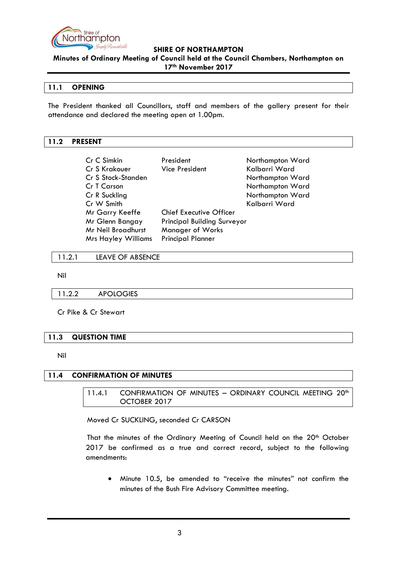

**Minutes of Ordinary Meeting of Council held at the Council Chambers, Northampton on 17th November 2017**

### <span id="page-2-0"></span>**11.1 OPENING**

The President thanked all Councillors, staff and members of the gallery present for their attendance and declared the meeting open at 1.00pm.

### <span id="page-2-1"></span>**11.2 PRESENT**

| Cr C Simkin                                   | President                          | Northampton Ward |
|-----------------------------------------------|------------------------------------|------------------|
| Cr S Krakouer                                 | Vice President                     | Kalbarri Ward    |
| Cr S Stock-Standen                            |                                    | Northampton Ward |
| Cr T Carson                                   |                                    | Northampton Ward |
| Cr R Suckling                                 |                                    | Northampton Ward |
| Cr W Smith                                    |                                    | Kalbarri Ward    |
| Mr Garry Keeffe                               | <b>Chief Executive Officer</b>     |                  |
| Mr Glenn Bangay                               | <b>Principal Building Surveyor</b> |                  |
| Mr Neil Broadhurst<br><b>Manager of Works</b> |                                    |                  |
| <b>Mrs Hayley Williams</b>                    | <b>Principal Planner</b>           |                  |

<span id="page-2-2"></span>11.2.1 LEAVE OF ABSENCE

Nil

<span id="page-2-3"></span>11.2.2 APOLOGIES

Cr Pike & Cr Stewart

#### <span id="page-2-4"></span>**11.3 QUESTION TIME**

Nil

# <span id="page-2-6"></span><span id="page-2-5"></span>**11.4 CONFIRMATION OF MINUTES**

# 11.4.1 CONFIRMATION OF MINUTES - ORDINARY COUNCIL MEETING 20<sup>th</sup> OCTOBER 2017

Moved Cr SUCKLING, seconded Cr CARSON

That the minutes of the Ordinary Meeting of Council held on the 20<sup>th</sup> October 2017 be confirmed as a true and correct record, subject to the following amendments:

 Minute 10.5, be amended to "receive the minutes" not confirm the minutes of the Bush Fire Advisory Committee meeting.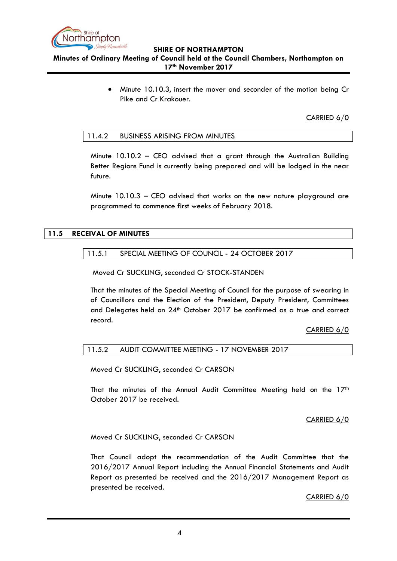

# **Minutes of Ordinary Meeting of Council held at the Council Chambers, Northampton on 17th November 2017**

 Minute 10.10.3, insert the mover and seconder of the motion being Cr Pike and Cr Krakouer.

CARRIED 6/0

#### <span id="page-3-0"></span>11.4.2 BUSINESS ARISING FROM MINUTES

Minute  $10.10.2$  – CEO advised that a grant through the Australian Building Better Regions Fund is currently being prepared and will be lodged in the near future.

Minute 10.10.3 – CEO advised that works on the new nature playground are programmed to commence first weeks of February 2018.

# <span id="page-3-2"></span><span id="page-3-1"></span>**11.5 RECEIVAL OF MINUTES**

### 11.5.1 SPECIAL MEETING OF COUNCIL - 24 OCTOBER 2017

Moved Cr SUCKLING, seconded Cr STOCK-STANDEN

That the minutes of the Special Meeting of Council for the purpose of swearing in of Councillors and the Election of the President, Deputy President, Committees and Delegates held on 24<sup>th</sup> October 2017 be confirmed as a true and correct record.

CARRIED 6/0

# <span id="page-3-3"></span>11.5.2 AUDIT COMMITTEE MEETING - 17 NOVEMBER 2017

Moved Cr SUCKLING, seconded Cr CARSON

That the minutes of the Annual Audit Committee Meeting held on the  $17<sup>th</sup>$ October 2017 be received.

#### CARRIED 6/0

Moved Cr SUCKLING, seconded Cr CARSON

That Council adopt the recommendation of the Audit Committee that the 2016/2017 Annual Report including the Annual Financial Statements and Audit Report as presented be received and the 2016/2017 Management Report as presented be received.

CARRIED 6/0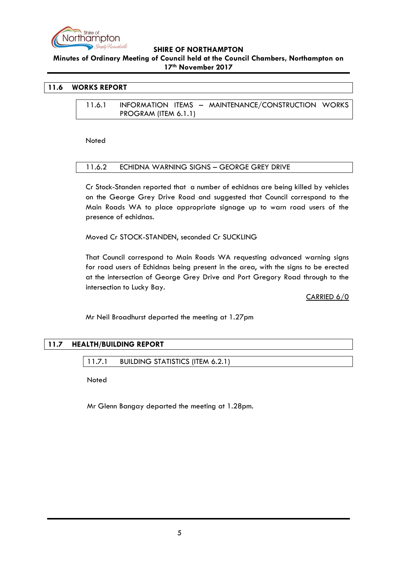

**Minutes of Ordinary Meeting of Council held at the Council Chambers, Northampton on 17th November 2017**

### <span id="page-4-1"></span><span id="page-4-0"></span>**11.6 WORKS REPORT**

11.6.1 INFORMATION ITEMS – MAINTENANCE/CONSTRUCTION WORKS PROGRAM (ITEM 6.1.1)

**Noted** 

#### <span id="page-4-2"></span>11.6.2 ECHIDNA WARNING SIGNS – GEORGE GREY DRIVE

Cr Stock-Standen reported that a number of echidnas are being killed by vehicles on the George Grey Drive Road and suggested that Council correspond to the Main Roads WA to place appropriate signage up to warn road users of the presence of echidnas.

Moved Cr STOCK-STANDEN, seconded Cr SUCKLING

That Council correspond to Main Roads WA requesting advanced warning signs for road users of Echidnas being present in the area, with the signs to be erected at the intersection of George Grey Drive and Port Gregory Road through to the intersection to Lucky Bay.

CARRIED 6/0

Mr Neil Broadhurst departed the meeting at 1.27pm

# <span id="page-4-4"></span><span id="page-4-3"></span>**11.7 HEALTH/BUILDING REPORT**

11.7.1 BUILDING STATISTICS (ITEM 6.2.1)

**Noted** 

Mr Glenn Bangay departed the meeting at 1.28pm.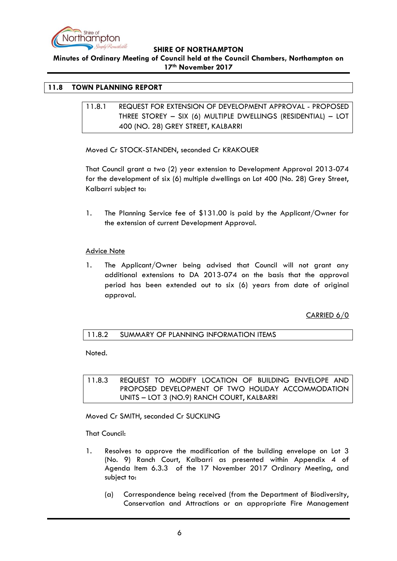

**Minutes of Ordinary Meeting of Council held at the Council Chambers, Northampton on 17th November 2017**

# <span id="page-5-1"></span><span id="page-5-0"></span>**11.8 TOWN PLANNING REPORT**

11.8.1 REQUEST FOR EXTENSION OF DEVELOPMENT APPROVAL - PROPOSED THREE STOREY – SIX (6) MULTIPLE DWELLINGS (RESIDENTIAL) – LOT 400 (NO. 28) GREY STREET, KALBARRI

Moved Cr STOCK-STANDEN, seconded Cr KRAKOUER

That Council grant a two (2) year extension to Development Approval 2013-074 for the development of six (6) multiple dwellings on Lot 400 (No. 28) Grey Street, Kalbarri subject to:

1. The Planning Service fee of \$131.00 is paid by the Applicant/Owner for the extension of current Development Approval.

#### Advice Note

1. The Applicant/Owner being advised that Council will not grant any additional extensions to DA 2013-074 on the basis that the approval period has been extended out to six (6) years from date of original approval.

CARRIED 6/0

# <span id="page-5-2"></span>11.8.2 SUMMARY OF PLANNING INFORMATION ITEMS

Noted.

<span id="page-5-3"></span>11.8.3 REQUEST TO MODIFY LOCATION OF BUILDING ENVELOPE AND PROPOSED DEVELOPMENT OF TWO HOLIDAY ACCOMMODATION UNITS – LOT 3 (NO.9) RANCH COURT, KALBARRI

Moved Cr SMITH, seconded Cr SUCKLING

That Council:

- 1. Resolves to approve the modification of the building envelope on Lot 3 (No. 9) Ranch Court, Kalbarri as presented within Appendix 4 of Agenda Item 6.3.3 of the 17 November 2017 Ordinary Meeting, and subject to:
	- (a) Correspondence being received (from the Department of Biodiversity, Conservation and Attractions or an appropriate Fire Management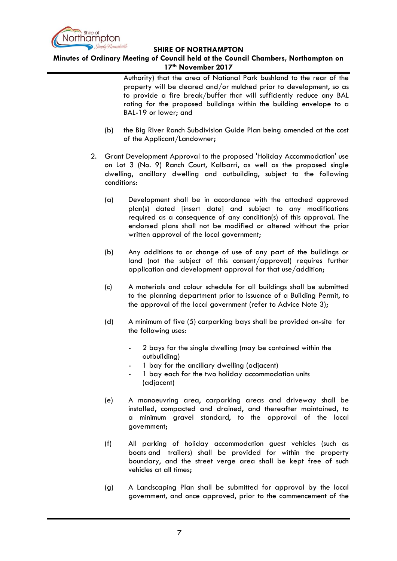

# **Minutes of Ordinary Meeting of Council held at the Council Chambers, Northampton on 17th November 2017**

Authority) that the area of National Park bushland to the rear of the property will be cleared and/or mulched prior to development, so as to provide a fire break/buffer that will sufficiently reduce any BAL rating for the proposed buildings within the building envelope to a BAL-19 or lower; and

- (b) the Big River Ranch Subdivision Guide Plan being amended at the cost of the Applicant/Landowner;
- 2. Grant Development Approval to the proposed 'Holiday Accommodation' use on Lot 3 (No. 9) Ranch Court, Kalbarri, as well as the proposed single dwelling, ancillary dwelling and outbuilding, subject to the following conditions:
	- (a) Development shall be in accordance with the attached approved plan(s) dated [insert date] and subject to any modifications required as a consequence of any condition(s) of this approval. The endorsed plans shall not be modified or altered without the prior written approval of the local government;
	- (b) Any additions to or change of use of any part of the buildings or land (not the subject of this consent/approval) requires further application and development approval for that use/addition;
	- (c) A materials and colour schedule for all buildings shall be submitted to the planning department prior to issuance of a Building Permit, to the approval of the local government (refer to Advice Note 3);
	- (d) A minimum of five (5) carparking bays shall be provided on-site for the following uses:
		- 2 bays for the single dwelling (may be contained within the outbuilding)
		- 1 bay for the ancillary dwelling (adjacent)
		- 1 bay each for the two holiday accommodation units (adjacent)
	- (e) A manoeuvring area, carparking areas and driveway shall be installed, compacted and drained, and thereafter maintained, to a minimum gravel standard, to the approval of the local government;
	- (f) All parking of holiday accommodation guest vehicles (such as boats and trailers) shall be provided for within the property boundary, and the street verge area shall be kept free of such vehicles at all times;
	- (g) A Landscaping Plan shall be submitted for approval by the local government, and once approved, prior to the commencement of the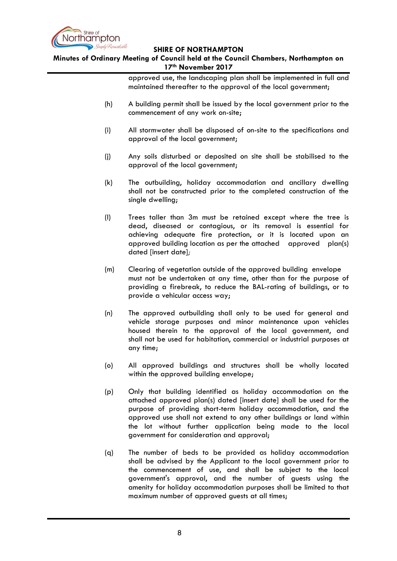

**Minutes of Ordinary Meeting of Council held at the Council Chambers, Northampton on 17th November 2017**

> approved use, the landscaping plan shall be implemented in full and maintained thereafter to the approval of the local government;

- (h) A building permit shall be issued by the local government prior to the commencement of any work on-site;
- (i) All stormwater shall be disposed of on-site to the specifications and approval of the local government;
- (j) Any soils disturbed or deposited on site shall be stabilised to the approval of the local government;
- (k) The outbuilding, holiday accommodation and ancillary dwelling shall not be constructed prior to the completed construction of the single dwelling;
- (l) Trees taller than 3m must be retained except where the tree is dead, diseased or contagious, or its removal is essential for achieving adequate fire protection, or it is located upon an approved building location as per the attached approved plan(s) dated [insert date]*;*
- (m) Clearing of vegetation outside of the approved building envelope must not be undertaken at any time, other than for the purpose of providing a firebreak, to reduce the BAL-rating of buildings, or to provide a vehicular access way;
- (n) The approved outbuilding shall only to be used for general and vehicle storage purposes and minor maintenance upon vehicles housed therein to the approval of the local government, and shall not be used for habitation, commercial or industrial purposes at any time;
- (o) All approved buildings and structures shall be wholly located within the approved building envelope;
- (p) Only that building identified as holiday accommodation on the attached approved plan(s) dated [insert date] shall be used for the purpose of providing short-term holiday accommodation, and the approved use shall not extend to any other buildings or land within the lot without further application being made to the local government for consideration and approval;
- (q) The number of beds to be provided as holiday accommodation shall be advised by the Applicant to the local government prior to the commencement of use, and shall be subject to the local government's approval, and the number of guests using the amenity for holiday accommodation purposes shall be limited to that maximum number of approved guests at all times;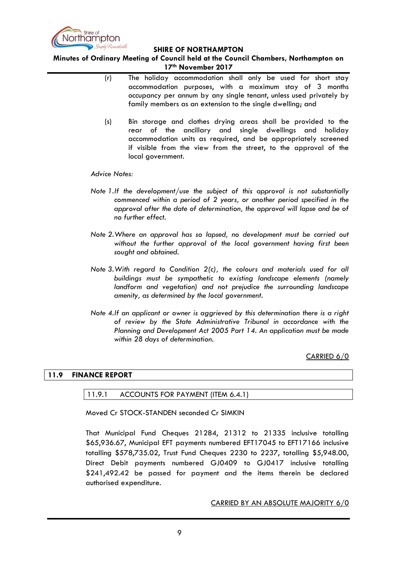

**Minutes of Ordinary Meeting of Council held at the Council Chambers, Northampton on 17th November 2017**

- (r) The holiday accommodation shall only be used for short stay accommodation purposes, with a maximum stay of 3 months occupancy per annum by any single tenant, unless used privately by family members as an extension to the single dwelling; and
- (s) Bin storage and clothes drying areas shall be provided to the rear of the ancillary and single dwellings and holiday accommodation units as required, and be appropriately screened if visible from the view from the street, to the approval of the local government.

*Advice Notes:*

- *Note 1.If the development/use the subject of this approval is not substantially commenced within a period of 2 years, or another period specified in the approval after the date of determination, the approval will lapse and be of no further effect.*
- *Note 2.Where an approval has so lapsed, no development must be carried out without the further approval of the local government having first been sought and obtained.*
- *Note 3.With regard to Condition 2(c), the colours and materials used for all buildings must be sympathetic to existing landscape elements (namely landform and vegetation) and not prejudice the surrounding landscape amenity, as determined by the local government.*
- *Note 4.If an applicant or owner is aggrieved by this determination there is a right of review by the State Administrative Tribunal in accordance with the Planning and Development Act 2005 Part 14. An application must be made within 28 days of determination.*

CARRIED 6/0

# <span id="page-8-1"></span><span id="page-8-0"></span>**11.9 FINANCE REPORT**

#### 11.9.1 ACCOUNTS FOR PAYMENT (ITEM 6.4.1)

Moved Cr STOCK-STANDEN seconded Cr SIMKIN

That Municipal Fund Cheques 21284, 21312 to 21335 inclusive totalling \$65,936.67, Municipal EFT payments numbered EFT17045 to EFT17166 inclusive totalling \$578,735.02, Trust Fund Cheques 2230 to 2237, totalling \$5,948.00, Direct Debit payments numbered GJ0409 to GJ0417 inclusive totalling \$241,492.42 be passed for payment and the items therein be declared authorised expenditure.

CARRIED BY AN ABSOLUTE MAJORITY 6/0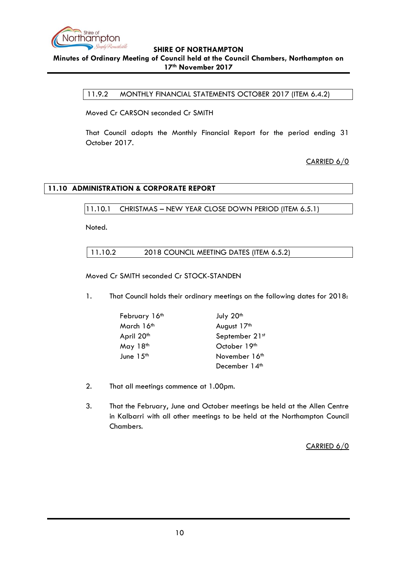

<span id="page-9-0"></span>**Minutes of Ordinary Meeting of Council held at the Council Chambers, Northampton on 17th November 2017**

11.9.2 MONTHLY FINANCIAL STATEMENTS OCTOBER 2017 (ITEM 6.4.2)

Moved Cr CARSON seconded Cr SMITH

That Council adopts the Monthly Financial Report for the period ending 31 October 2017.

CARRIED 6/0

# <span id="page-9-2"></span><span id="page-9-1"></span>**11.10 ADMINISTRATION & CORPORATE REPORT**

11.10.1 CHRISTMAS – NEW YEAR CLOSE DOWN PERIOD (ITEM 6.5.1)

<span id="page-9-3"></span>Noted.

11.10.2 2018 COUNCIL MEETING DATES (ITEM 6.5.2)

Moved Cr SMITH seconded Cr STOCK-STANDEN

1. That Council holds their ordinary meetings on the following dates for 2018:

| February 16th          | July 20th                 |
|------------------------|---------------------------|
| March 16th             | August 17th               |
| April 20 <sup>th</sup> | September 21st            |
| May $18th$             | October 19th              |
| June 15 <sup>th</sup>  | November 16 <sup>th</sup> |
|                        | December 14 <sup>th</sup> |

- 2. That all meetings commence at 1.00pm.
- 3. That the February, June and October meetings be held at the Allen Centre in Kalbarri with all other meetings to be held at the Northampton Council Chambers.

CARRIED 6/0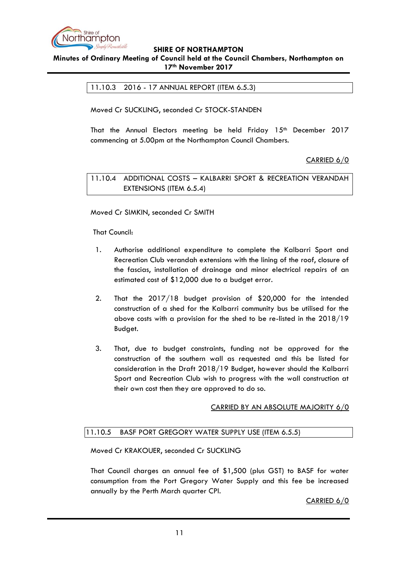

### <span id="page-10-0"></span>**Minutes of Ordinary Meeting of Council held at the Council Chambers, Northampton on 17th November 2017**

11.10.3 2016 - 17 ANNUAL REPORT (ITEM 6.5.3)

Moved Cr SUCKLING, seconded Cr STOCK-STANDEN

That the Annual Electors meeting be held Friday 15<sup>th</sup> December 2017 commencing at 5.00pm at the Northampton Council Chambers.

CARRIED 6/0

<span id="page-10-1"></span>11.10.4 ADDITIONAL COSTS – KALBARRI SPORT & RECREATION VERANDAH EXTENSIONS (ITEM 6.5.4)

Moved Cr SIMKIN, seconded Cr SMITH

That Council:

- 1. Authorise additional expenditure to complete the Kalbarri Sport and Recreation Club verandah extensions with the lining of the roof, closure of the fascias, installation of drainage and minor electrical repairs of an estimated cost of \$12,000 due to a budget error.
- 2. That the 2017/18 budget provision of \$20,000 for the intended construction of a shed for the Kalbarri community bus be utilised for the above costs with a provision for the shed to be re-listed in the 2018/19 Budget.
- 3. That, due to budget constraints, funding not be approved for the construction of the southern wall as requested and this be listed for consideration in the Draft 2018/19 Budget, however should the Kalbarri Sport and Recreation Club wish to progress with the wall construction at their own cost then they are approved to do so.

# CARRIED BY AN ABSOLUTE MAJORITY 6/0

# <span id="page-10-2"></span>11.10.5 BASF PORT GREGORY WATER SUPPLY USE (ITEM 6.5.5)

Moved Cr KRAKOUER, seconded Cr SUCKLING

That Council charges an annual fee of \$1,500 (plus GST) to BASF for water consumption from the Port Gregory Water Supply and this fee be increased annually by the Perth March quarter CPI.

CARRIED 6/0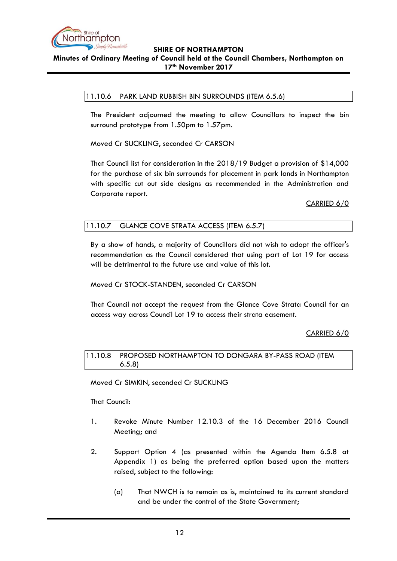

# <span id="page-11-0"></span>**Minutes of Ordinary Meeting of Council held at the Council Chambers, Northampton on 17th November 2017**

# 11.10.6 PARK LAND RUBBISH BIN SURROUNDS (ITEM 6.5.6)

The President adjourned the meeting to allow Councillors to inspect the bin surround prototype from 1.50pm to 1.57pm.

Moved Cr SUCKLING, seconded Cr CARSON

That Council list for consideration in the 2018/19 Budget a provision of \$14,000 for the purchase of six bin surrounds for placement in park lands in Northampton with specific cut out side designs as recommended in the Administration and Corporate report.

CARRIED 6/0

# <span id="page-11-1"></span>11.10.7 GLANCE COVE STRATA ACCESS (ITEM 6.5.7)

By a show of hands, a majority of Councillors did not wish to adopt the officer's recommendation as the Council considered that using part of Lot 19 for access will be detrimental to the future use and value of this lot.

Moved Cr STOCK-STANDEN, seconded Cr CARSON

That Council not accept the request from the Glance Cove Strata Council for an access way across Council Lot 19 to access their strata easement.

# CARRIED 6/0

<span id="page-11-2"></span>11.10.8 PROPOSED NORTHAMPTON TO DONGARA BY-PASS ROAD (ITEM 6.5.8)

Moved Cr SIMKIN, seconded Cr SUCKLING

That Council:

- 1. Revoke Minute Number 12.10.3 of the 16 December 2016 Council Meeting; and
- 2. Support Option 4 (as presented within the Agenda Item 6.5.8 at Appendix 1) as being the preferred option based upon the matters raised, subject to the following:
	- (a) That NWCH is to remain as is, maintained to its current standard and be under the control of the State Government;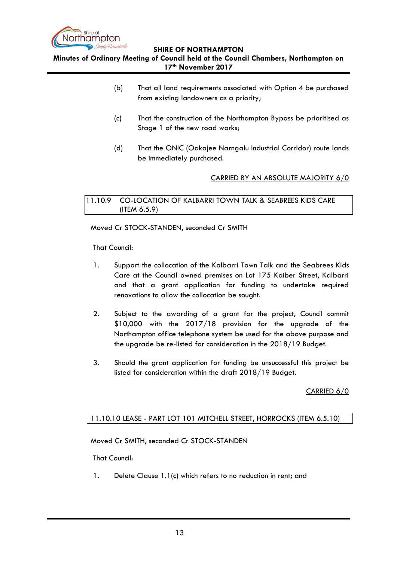

**Minutes of Ordinary Meeting of Council held at the Council Chambers, Northampton on 17th November 2017**

- (b) That all land requirements associated with Option 4 be purchased from existing landowners as a priority;
- (c) That the construction of the Northampton Bypass be prioritised as Stage 1 of the new road works;
- (d) That the ONIC (Oakajee Narngalu Industrial Corridor) route lands be immediately purchased.

# CARRIED BY AN ABSOLUTE MAJORITY 6/0

<span id="page-12-0"></span>11.10.9 CO-LOCATION OF KALBARRI TOWN TALK & SEABREES KIDS CARE (ITEM 6.5.9)

Moved Cr STOCK-STANDEN, seconded Cr SMITH

That Council:

- 1. Support the collocation of the Kalbarri Town Talk and the Seabrees Kids Care at the Council owned premises on Lot 175 Kaiber Street, Kalbarri and that a grant application for funding to undertake required renovations to allow the collocation be sought.
- 2. Subject to the awarding of a grant for the project, Council commit \$10,000 with the 2017/18 provision for the upgrade of the Northampton office telephone system be used for the above purpose and the upgrade be re-listed for consideration in the 2018/19 Budget.
- 3. Should the grant application for funding be unsuccessful this project be listed for consideration within the draft 2018/19 Budget.

CARRIED 6/0

# <span id="page-12-1"></span>11.10.10 LEASE - PART LOT 101 MITCHELL STREET, HORROCKS (ITEM 6.5.10)

Moved Cr SMITH, seconded Cr STOCK-STANDEN

That Council:

1. Delete Clause 1.1(c) which refers to no reduction in rent; and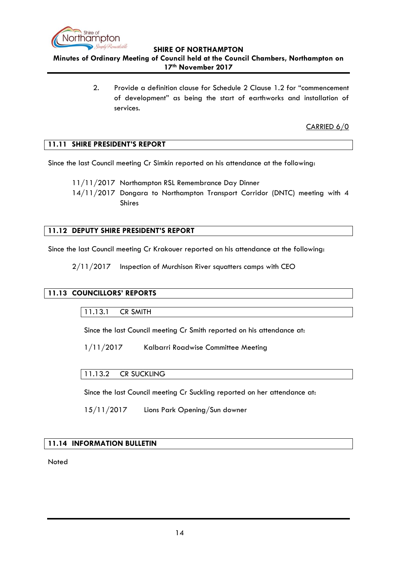

**Minutes of Ordinary Meeting of Council held at the Council Chambers, Northampton on 17th November 2017**

> 2. Provide a definition clause for Schedule 2 Clause 1.2 for "commencement of development" as being the start of earthworks and installation of services.

> > CARRIED 6/0

# <span id="page-13-0"></span>**11.11 SHIRE PRESIDENT'S REPORT**

Since the last Council meeting Cr Simkin reported on his attendance at the following:

11/11/2017 Northampton RSL Remembrance Day Dinner

14/11/2017 Dongara to Northampton Transport Corridor (DNTC) meeting with 4 Shires

# <span id="page-13-1"></span>**11.12 DEPUTY SHIRE PRESIDENT'S REPORT**

Since the last Council meeting Cr Krakouer reported on his attendance at the following:

2/11/2017 Inspection of Murchison River squatters camps with CEO

# <span id="page-13-3"></span><span id="page-13-2"></span>**11.13 COUNCILLORS' REPORTS**

11.13.1 CR SMITH

Since the last Council meeting Cr Smith reported on his attendance at:

1/11/2017 Kalbarri Roadwise Committee Meeting

# <span id="page-13-4"></span>11.13.2 CR SUCKLING

Since the last Council meeting Cr Suckling reported on her attendance at:

15/11/2017 Lions Park Opening/Sun downer

# <span id="page-13-5"></span>**11.14 INFORMATION BULLETIN**

**Noted**